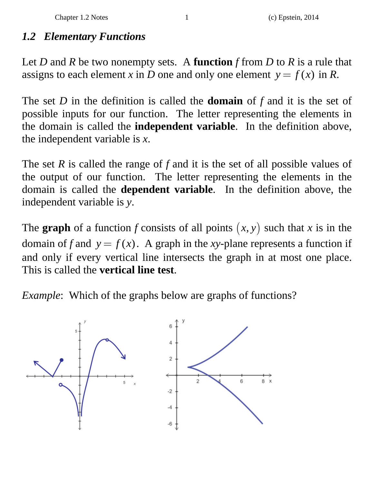## *1.2 Elementary Functions*

Let *D* and *R* be two nonempty sets. A **function** *f* from *D* to *R* is a rule that assigns to each element *x* in *D* one and only one element  $y = f(x)$  in *R*.

The set *D* in the definition is called the **domain** of *f* and it is the set of possible inputs for our function. The letter representing the elements in the domain is called the **independent variable**. In the definition above, the independent variable is *x*.

The set *R* is called the range of *f* and it is the set of all possible values of the output of our function. The letter representing the elements in the domain is called the **dependent variable**. In the definition above, the independent variable is *y*.

The **graph** of a function f consists of all points  $(x, y)$  such that x is in the domain of *f* and  $y = f(x)$ . A graph in the *xy*-plane represents a function if and only if every vertical line intersects the graph in at most one place. This is called the **vertical line test**.

*Example*: Which of the graphs below are graphs of functions?

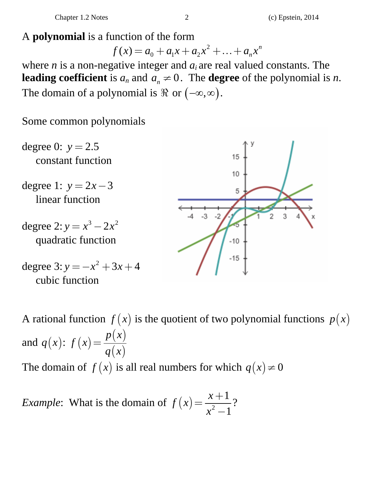A **polynomial** is a function of the form

$$
f(x) = a_0 + a_1 x + a_2 x^2 + \dots + a_n x^n
$$

where  $n$  is a non-negative integer and  $a_i$  are real valued constants. The **leading coefficient** is  $a_n$  and  $a_n \neq 0$ . The **degree** of the polynomial is *n*. The domain of a polynomial is  $\Re$  or  $(-\infty, \infty)$ .

Some common polynomials



A rational function  $f(x)$  is the quotient of two polynomial functions  $p(x)$ and  $q(x)$ :  $f(x) = \frac{p(x)}{x}$  $(x)$  $f(x) = \frac{p(x)}{x}$  $=\frac{P(x)}{q(x)}$ The domain of  $f(x)$  is all real numbers for which  $q(x) \neq 0$ 

*Example*: What is the domain of  $f(x) = \frac{x^2}{x^2}$ 1 1  $f(x) = \frac{x}{x}$  $=\frac{x+1}{x^2-1}$ ?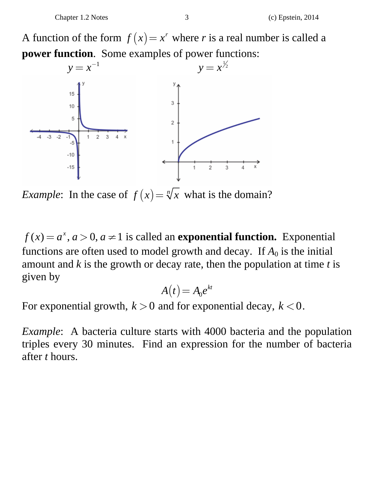A function of the form  $f(x) = x^r$  where *r* is a real number is called a **power function**. Some examples of power functions:



*Example*: In the case of  $f(x) = \sqrt[n]{x}$  what is the domain?

 $f(x) = a^x, a > 0, a \ne 1$  is called an **exponential function.** Exponential functions are often used to model growth and decay. If  $A_0$  is the initial amount and *k* is the growth or decay rate, then the population at time *t* is given by

$$
A(t) = A_0 e^{kt}
$$

For exponential growth,  $k > 0$  and for exponential decay,  $k < 0$ .

*Example*: A bacteria culture starts with 4000 bacteria and the population triples every 30 minutes. Find an expression for the number of bacteria after *t* hours.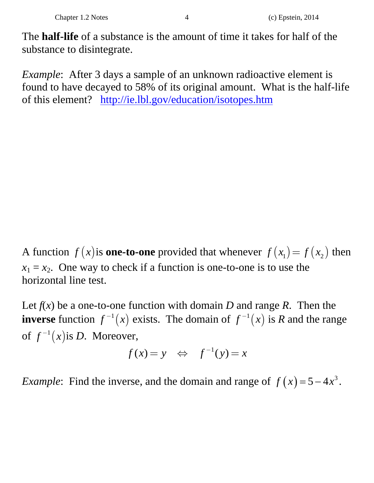The **half-life** of a substance is the amount of time it takes for half of the substance to disintegrate.

*Example*: After 3 days a sample of an unknown radioactive element is found to have decayed to 58% of its original amount. What is the half-life of this element? http://ie.lbl.gov/education/isotopes.htm

A function  $f(x)$  is **one-to-one** provided that whenever  $f(x_1) = f(x_2)$  then  $x_1 = x_2$ . One way to check if a function is one-to-one is to use the horizontal line test.

Let  $f(x)$  be a one-to-one function with domain *D* and range *R*. Then the **inverse** function  $f^{-1}(x)$  exists. The domain of  $f^{-1}(x)$  is *R* and the range of  $f^{-1}(x)$  is *D*. Moreover,

$$
f(x) = y \iff f^{-1}(y) = x
$$

*Example*: Find the inverse, and the domain and range of  $f(x) = 5 - 4x^3$ .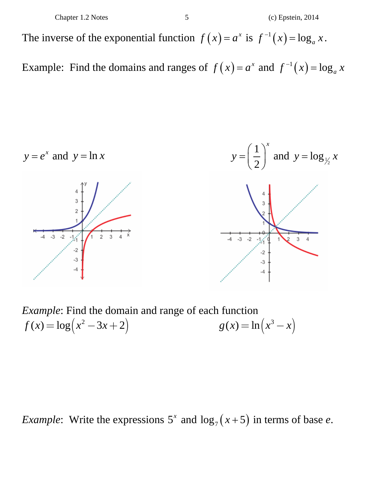The inverse of the exponential function  $f(x) = a^x$  is  $f^{-1}(x) = \log_a x$ .

Example: Find the domains and ranges of  $f(x) = a^x$  and  $f^{-1}(x) = \log_a x$ 



*Example*: Find the domain and range of each function  $f(x) = \log(x^2 - 3x + 2)$  $g(x) = \ln (x^3 - x)$ 

*Example*: Write the expressions  $5^x$  and  $\log_7(x+5)$  in terms of base *e*.